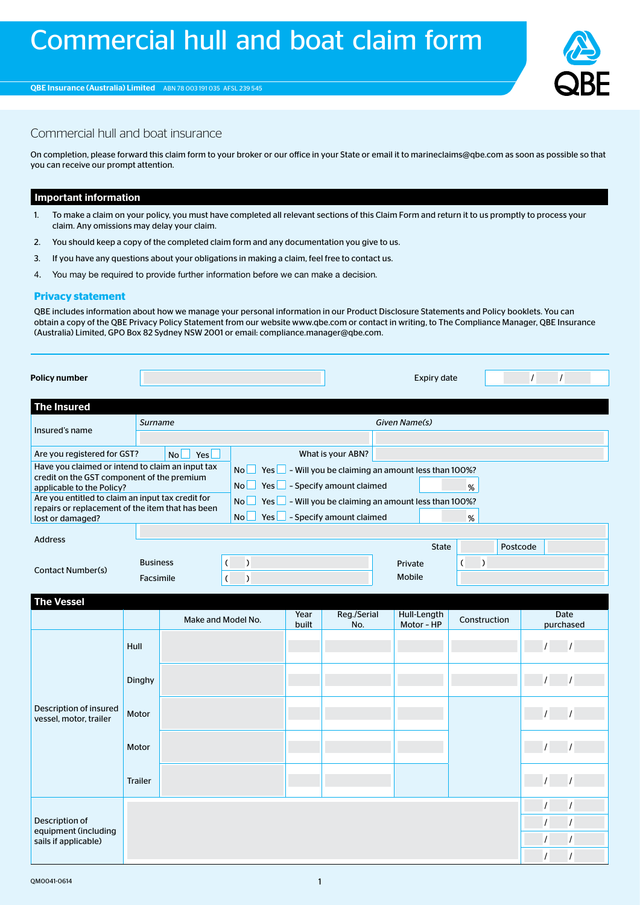

/ / / / / / / /

## Commercial hull and boat insurance

On completion, please forward this claim form to your broker or our office in your State or email it to marineclaims@qbe.com as soon as possible so that you can receive our prompt attention.

## Important information

- 1. To make a claim on your policy, you must have completed all relevant sections of this Claim Form and return it to us promptly to process your claim. Any omissions may delay your claim.
- 2. You should keep a copy of the completed claim form and any documentation you give to us.
- 3. If you have any questions about your obligations in making a claim, feel free to contact us.
- 4. You may be required to provide further information before we can make a decision.

## **Privacy statement**

QBE includes information about how we manage your personal information in our Product Disclosure Statements and Policy booklets. You can obtain a copy of the QBE Privacy Policy Statement from our website www.qbe.com or contact in writing, to The Compliance Manager, QBE Insurance (Australia) Limited, GPO Box 82 Sydney NSW 2001 or email: compliance.manager@qbe.com.

| Policy number                                                                                                                                                                                                                                            |      |                    |                                                                                                                                                                                                                                                       |  |                    | <b>Expiry date</b>        |               | $\prime$          |  |  |  |
|----------------------------------------------------------------------------------------------------------------------------------------------------------------------------------------------------------------------------------------------------------|------|--------------------|-------------------------------------------------------------------------------------------------------------------------------------------------------------------------------------------------------------------------------------------------------|--|--------------------|---------------------------|---------------|-------------------|--|--|--|
| <b>The Insured</b>                                                                                                                                                                                                                                       |      |                    |                                                                                                                                                                                                                                                       |  |                    |                           |               |                   |  |  |  |
| Insured's name                                                                                                                                                                                                                                           |      | Surname            |                                                                                                                                                                                                                                                       |  |                    | Given Name(s)             |               |                   |  |  |  |
| Are you registered for GST?                                                                                                                                                                                                                              |      | No<br>Yesl         |                                                                                                                                                                                                                                                       |  | What is your ABN?  |                           |               |                   |  |  |  |
| Have you claimed or intend to claim an input tax<br>credit on the GST component of the premium<br>applicable to the Policy?<br>Are you entitled to claim an input tax credit for<br>repairs or replacement of the item that has been<br>lost or damaged? |      |                    | <b>No</b><br>Yes $\Box$ - Will you be claiming an amount less than 100%?<br>No l<br>- Specify amount claimed<br>Yes<br>%<br>- Will you be claiming an amount less than 100%?<br>No.<br>Yes<br>- Specify amount claimed<br>Yes<br>No <sub>l</sub><br>% |  |                    |                           |               |                   |  |  |  |
| <b>Address</b>                                                                                                                                                                                                                                           |      |                    |                                                                                                                                                                                                                                                       |  |                    | <b>State</b>              | Postcode      |                   |  |  |  |
| <b>Business</b><br><b>Contact Number(s)</b><br>Facsimile                                                                                                                                                                                                 |      |                    |                                                                                                                                                                                                                                                       |  |                    | Private<br>Mobile         | $\mathcal{I}$ |                   |  |  |  |
| <b>The Vessel</b>                                                                                                                                                                                                                                        |      |                    |                                                                                                                                                                                                                                                       |  |                    |                           |               |                   |  |  |  |
|                                                                                                                                                                                                                                                          |      | Make and Model No. |                                                                                                                                                                                                                                                       |  | Reg./Serial<br>No. | Hull-Length<br>Motor - HP | Construction  | Date<br>purchased |  |  |  |
|                                                                                                                                                                                                                                                          | Hull |                    |                                                                                                                                                                                                                                                       |  |                    |                           |               |                   |  |  |  |

Dinghy / /

Motor / /

Motor / /

Trailer / /

Description of insured vessel, motor, trailer

Description of equipment (including sails if applicable)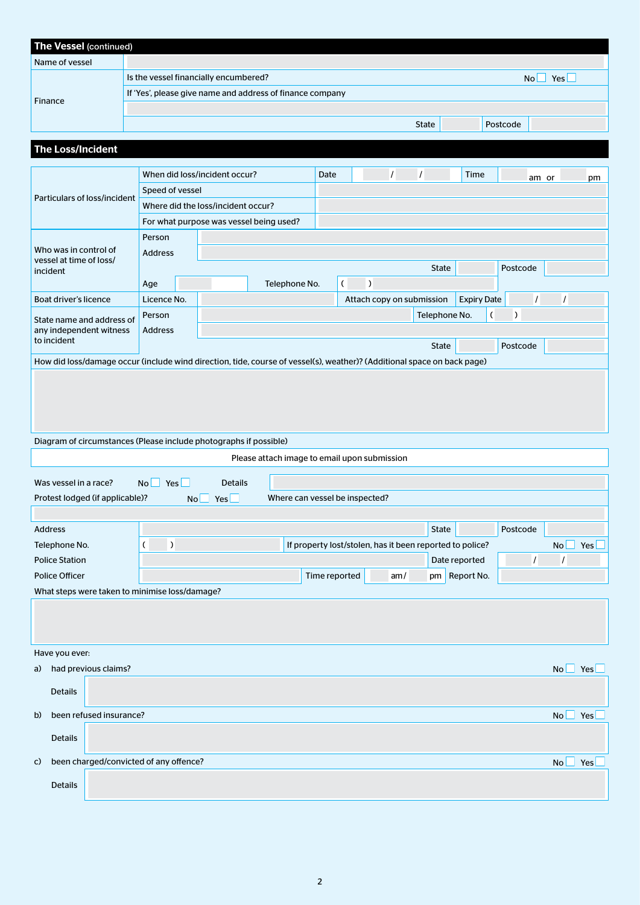| <b>The Vessel (continued)</b>                                                                                           |                                                                               |           |                      |                                              |      |                  |                                |          |                                                          |                    |                    |                       |                    |
|-------------------------------------------------------------------------------------------------------------------------|-------------------------------------------------------------------------------|-----------|----------------------|----------------------------------------------|------|------------------|--------------------------------|----------|----------------------------------------------------------|--------------------|--------------------|-----------------------|--------------------|
| Name of vessel                                                                                                          |                                                                               |           |                      |                                              |      |                  |                                |          |                                                          |                    |                    |                       |                    |
|                                                                                                                         | Is the vessel financially encumbered?                                         |           |                      |                                              |      |                  |                                |          |                                                          |                    | $No \Box Yes \Box$ |                       |                    |
| Finance                                                                                                                 | If 'Yes', please give name and address of finance company                     |           |                      |                                              |      |                  |                                |          |                                                          |                    |                    |                       |                    |
|                                                                                                                         |                                                                               |           |                      |                                              |      |                  |                                |          |                                                          |                    |                    |                       |                    |
|                                                                                                                         |                                                                               |           |                      |                                              |      |                  |                                |          | State                                                    |                    | Postcode           |                       |                    |
| <b>The Loss/Incident</b>                                                                                                |                                                                               |           |                      |                                              |      |                  |                                |          |                                                          |                    |                    |                       |                    |
|                                                                                                                         |                                                                               |           |                      |                                              |      |                  |                                |          |                                                          |                    |                    |                       |                    |
|                                                                                                                         | When did loss/incident occur?                                                 |           |                      |                                              | Date |                  |                                | $\prime$ | $\prime$                                                 | Time               | am or              |                       | pm                 |
| Particulars of loss/incident                                                                                            | Speed of vessel                                                               |           |                      |                                              |      |                  |                                |          |                                                          |                    |                    |                       |                    |
|                                                                                                                         | Where did the loss/incident occur?<br>For what purpose was vessel being used? |           |                      |                                              |      |                  |                                |          |                                                          |                    |                    |                       |                    |
|                                                                                                                         | Person                                                                        |           |                      |                                              |      |                  |                                |          |                                                          |                    |                    |                       |                    |
| Who was in control of                                                                                                   | <b>Address</b>                                                                |           |                      |                                              |      |                  |                                |          |                                                          |                    |                    |                       |                    |
| vessel at time of loss/<br>incident                                                                                     |                                                                               |           |                      |                                              |      |                  |                                |          | State                                                    |                    | Postcode           |                       |                    |
|                                                                                                                         | Age                                                                           |           |                      | Telephone No.                                |      | $\overline{(\ }$ | $\lambda$                      |          |                                                          |                    |                    |                       |                    |
| Boat driver's licence                                                                                                   | Licence No.                                                                   |           |                      |                                              |      |                  |                                |          | Attach copy on submission                                | <b>Expiry Date</b> | $\mathcal{L}$      | $\prime$              |                    |
| State name and address of                                                                                               | Person                                                                        |           |                      |                                              |      |                  |                                |          | Telephone No.                                            | $\overline{(\ }$   | $\mathcal{C}$      |                       |                    |
| any independent witness                                                                                                 | <b>Address</b>                                                                |           |                      |                                              |      |                  |                                |          |                                                          |                    |                    |                       |                    |
| to incident                                                                                                             |                                                                               |           |                      |                                              |      |                  |                                |          | State                                                    |                    | Postcode           |                       |                    |
| How did loss/damage occur (include wind direction, tide, course of vessel(s), weather)? (Additional space on back page) |                                                                               |           |                      |                                              |      |                  |                                |          |                                                          |                    |                    |                       |                    |
|                                                                                                                         |                                                                               |           |                      |                                              |      |                  |                                |          |                                                          |                    |                    |                       |                    |
|                                                                                                                         |                                                                               |           |                      |                                              |      |                  |                                |          |                                                          |                    |                    |                       |                    |
|                                                                                                                         |                                                                               |           |                      |                                              |      |                  |                                |          |                                                          |                    |                    |                       |                    |
|                                                                                                                         |                                                                               |           |                      |                                              |      |                  |                                |          |                                                          |                    |                    |                       |                    |
| Diagram of circumstances (Please include photographs if possible)                                                       |                                                                               |           |                      | Please attach image to email upon submission |      |                  |                                |          |                                                          |                    |                    |                       |                    |
|                                                                                                                         |                                                                               |           |                      |                                              |      |                  |                                |          |                                                          |                    |                    |                       |                    |
| Was vessel in a race?                                                                                                   | $No \Box Yes$                                                                 |           | <b>Details</b>       |                                              |      |                  |                                |          |                                                          |                    |                    |                       |                    |
| Protest lodged (if applicable)?                                                                                         |                                                                               | No l      | Yes                  | Where can vessel be inspected?               |      |                  |                                |          |                                                          |                    |                    |                       |                    |
|                                                                                                                         |                                                                               |           |                      |                                              |      |                  |                                |          |                                                          |                    |                    |                       |                    |
| <b>Address</b>                                                                                                          |                                                                               |           |                      |                                              |      |                  |                                |          | State                                                    |                    | Postcode           |                       |                    |
| Telephone No.                                                                                                           | $\overline{(\ }$                                                              | $\lambda$ |                      |                                              |      |                  |                                |          | If property lost/stolen, has it been reported to police? |                    | $\overline{I}$     | <b>No</b><br>$\prime$ | Yes                |
| <b>Police Station</b><br><b>Police Officer</b>                                                                          |                                                                               |           | Time reported<br>am/ |                                              |      |                  | Date reported<br>pm Report No. |          |                                                          |                    |                    |                       |                    |
| What steps were taken to minimise loss/damage?                                                                          |                                                                               |           |                      |                                              |      |                  |                                |          |                                                          |                    |                    |                       |                    |
|                                                                                                                         |                                                                               |           |                      |                                              |      |                  |                                |          |                                                          |                    |                    |                       |                    |
|                                                                                                                         |                                                                               |           |                      |                                              |      |                  |                                |          |                                                          |                    |                    |                       |                    |
|                                                                                                                         |                                                                               |           |                      |                                              |      |                  |                                |          |                                                          |                    |                    |                       |                    |
| Have you ever:                                                                                                          |                                                                               |           |                      |                                              |      |                  |                                |          |                                                          |                    |                    |                       |                    |
| had previous claims?<br>a)                                                                                              |                                                                               |           |                      |                                              |      |                  |                                |          |                                                          |                    |                    |                       | $No \Box Yes \Box$ |
| <b>Details</b>                                                                                                          |                                                                               |           |                      |                                              |      |                  |                                |          |                                                          |                    |                    |                       |                    |
|                                                                                                                         |                                                                               |           |                      |                                              |      |                  |                                |          |                                                          |                    |                    |                       |                    |
| been refused insurance?<br>b)                                                                                           |                                                                               |           |                      |                                              |      |                  |                                |          |                                                          |                    |                    | No                    | Yes                |
| <b>Details</b>                                                                                                          |                                                                               |           |                      |                                              |      |                  |                                |          |                                                          |                    |                    |                       |                    |
|                                                                                                                         |                                                                               |           |                      |                                              |      |                  |                                |          |                                                          |                    |                    |                       |                    |
| been charged/convicted of any offence?<br>C)                                                                            |                                                                               |           |                      |                                              |      |                  |                                |          |                                                          |                    |                    | <b>No</b>             | Yes                |
| <b>Details</b>                                                                                                          |                                                                               |           |                      |                                              |      |                  |                                |          |                                                          |                    |                    |                       |                    |
|                                                                                                                         |                                                                               |           |                      |                                              |      |                  |                                |          |                                                          |                    |                    |                       |                    |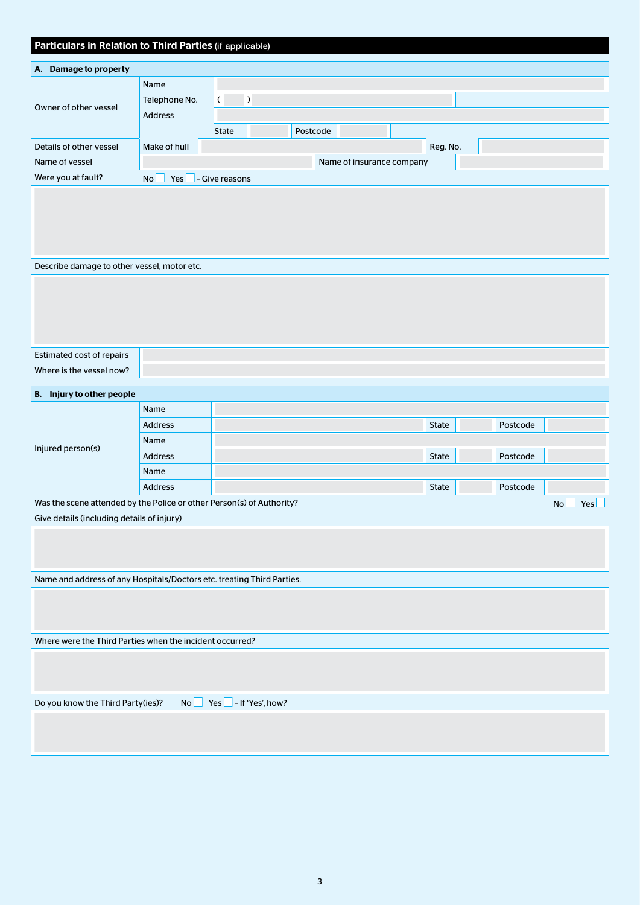| Particulars in Relation to Third Parties (if applicable) |                       |                      |                           |          |  |  |  |  |  |  |
|----------------------------------------------------------|-----------------------|----------------------|---------------------------|----------|--|--|--|--|--|--|
| Damage to property<br>А.                                 |                       |                      |                           |          |  |  |  |  |  |  |
| Owner of other yessel                                    | Name<br>Telephone No. | $\lambda$            |                           |          |  |  |  |  |  |  |
|                                                          | <b>Address</b>        | <b>State</b>         | Postcode                  |          |  |  |  |  |  |  |
| Details of other vessel                                  | Make of hull          |                      |                           | Reg. No. |  |  |  |  |  |  |
| Name of vessel                                           |                       |                      | Name of insurance company |          |  |  |  |  |  |  |
| Were you at fault?                                       | No.                   | $Yes$ - Give reasons |                           |          |  |  |  |  |  |  |
|                                                          |                       |                      |                           |          |  |  |  |  |  |  |
|                                                          |                       |                      |                           |          |  |  |  |  |  |  |
|                                                          |                       |                      |                           |          |  |  |  |  |  |  |
|                                                          |                       |                      |                           |          |  |  |  |  |  |  |

Describe damage to other vessel, motor etc.

| Estimated cost of repairs |  |
|---------------------------|--|
| Where is the vessel now?  |  |

| <b>B.</b><br>Injury to other people                                   |                |  |              |                  |          |  |  |
|-----------------------------------------------------------------------|----------------|--|--------------|------------------|----------|--|--|
| Injured person(s)                                                     | Name           |  |              |                  |          |  |  |
|                                                                       | <b>Address</b> |  | <b>State</b> |                  | Postcode |  |  |
|                                                                       | Name           |  |              |                  |          |  |  |
|                                                                       | <b>Address</b> |  | <b>State</b> |                  | Postcode |  |  |
|                                                                       | Name           |  |              |                  |          |  |  |
|                                                                       | <b>Address</b> |  | <b>State</b> |                  | Postcode |  |  |
| Was the scene attended by the Police or other Person(s) of Authority? |                |  |              | <b>No</b><br>Yes |          |  |  |
| Give details (including details of injury)                            |                |  |              |                  |          |  |  |
|                                                                       |                |  |              |                  |          |  |  |

Name and address of any Hospitals/Doctors etc. treating Third Parties.

Where were the Third Parties when the incident occurred?

Do you know the Third Party(ies)? No Yes  $\Box$  - If 'Yes', how?